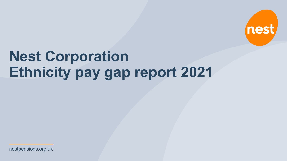nestpensions.org.uk

# **Nest Corporation Ethnicity pay gap report 2021**

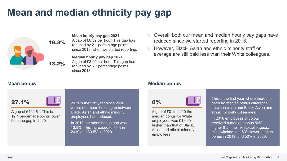### **Mean and median ethnicity pay gap**



**Mean hourly pay gap 2021**

A gap of £6.39 per hour. This gap has reduced by 2.1 percentage points since 2018, when we started reporting.

**Median hourly pay gap 2021** A gap of £3.99 per hour. This gap has reduced by 6.7 percentage points since 2018.

- Overall, both our mean and median hourly pay gaps have reduced since we started reporting in 2018.
- However, Black, Asian and ethnic minority staff on average are still paid less than their White colleagues.

27.1%

A gap of £442.61. This is 12.4 percentage points lower than the gap in 2020.

2021 is the first year since 2018 where our mean bonus gap between Black, Asian and ethnic minority employees has reduced.

In 2018 the mean bonus gap was 13.8%. This increased to 35% in 2019 and 39.5% in 2020.

### **Mean bonus Median bonus**

0%



A gap of £0. In 2020 the median bonus for White employees was £1,000 higher than that of Black, Asian and ethnic minority employees.

This is the first year where there has been no median bonus difference between white and Black, Asian and ethnic minority colleagues.

In 2018 employees of colour received a median bonus 56% higher than their white colleagues, this switched to a 63% lower median bonus in 2019, and 50% in 2020.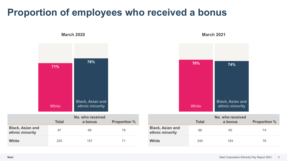### **Proportion of employees who received a bonus**

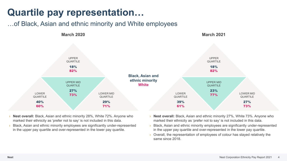### **Quartile pay representation…**

### …of Black, Asian and ethnic minority and White employees



- › **Nest overall:** Black, Asian and ethnic minority 28%, White 72%. Anyone who marked their ethnicity as 'prefer not to say' is not included in this data.
- Black, Asian and ethnic minority employees are significantly under-represented in the upper pay quartile and over-represented in the lower pay quartile.
- › **Nest overall:** Black, Asian and ethnic minority 27%, White 73%. Anyone who marked their ethnicity as 'prefer not to say' is not included in this data.
- › Black, Asian and ethnic minority employees are significantly under-represented in the upper pay quartile and over-represented in the lower pay quartile.
- › Overall, the representation of employees of colour has stayed relatively the same since 2018.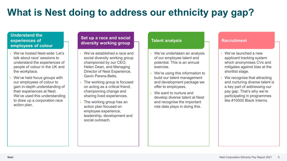## **What is Nest doing to address our ethnicity pay gap?**

#### **Understand the experiences of employees of colour**

- We've hosted Nest-wide 'Let's talk about race' sessions to understand the experiences of people of colour in the UK and the workplace.
- We've held focus groups with our employees of colour to gain in-depth understanding of their experiences at Nest. We've used this understanding to draw up a corporation race action plan.

#### **Set up a race and social diversity working group**

- We've established a race and social diversity working group championed by our CEO, Helen Dean, and Managing Director of Nest Experience, Gavin Perera-Betts.
- The working group is focused on acting as a critical friend, championing change and sharing lived experiences.
- The working group has an action plan focused on employee experience, leadership, development and social outreach.

#### **Talent analysis**

- We've undertaken an analysis of our employee talent and potential. This is an annual exercise.
- › We're using this information to build our talent management and development package we offer to employees.
- We want to nurture and develop diverse talent at Nest and recognise the important role data plays in doing this.

#### **Recruitment**

- We've launched a new applicant tracking system which anonymises CVs and mitigates against bias at the shortlist stage.
- We recognise that attracting and nurturing diverse talent is a key part of addressing our pay gap. That's why we're participating in programmes like #10000 Black Interns.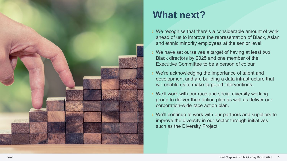

## **What next?**

- › We recognise that there's a considerable amount of work ahead of us to improve the representation of Black, Asian and ethnic minority employees at the senior level.
- › We have set ourselves a target of having at least two Black directors by 2025 and one member of the Executive Committee to be a person of colour.
- › We're acknowledging the importance of talent and development and are building a data infrastructure that will enable us to make targeted interventions.
- › We'll work with our race and social diversity working group to deliver their action plan as well as deliver our corporation -wide race action plan.
- We'll continue to work with our partners and suppliers to improve the diversity in our sector through initiatives such as the Diversity Project.